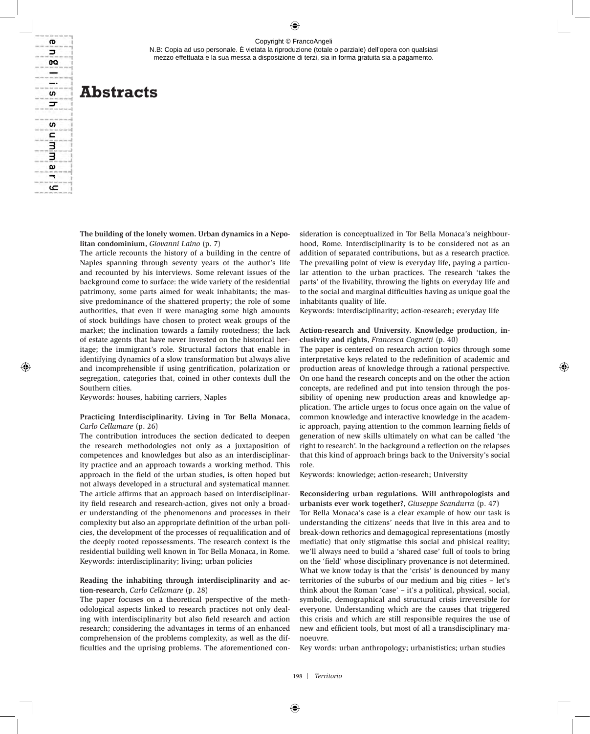N.B: Copia ad uso personale. È vietata la riproduzione (totale o parziale) dell'opera con qualsiasi mezzo effettuata e la sua messa a disposizione di terzi, sia in forma gratuita sia a pagamento.

# **Abstracts**

ന  $\overline{a}$ œ  $\equiv$ 

S ᢖ

S  $\mathbf{C}$ з 3  $\mathbf{a}$  $\overline{\phantom{0}}$ عا

> **The building of the lonely women. Urban dynamics in a Nepolitan condominium**, *Giovanni Laino* (p. 7)

> The article recounts the history of a building in the centre of Naples spanning through seventy years of the author's life and recounted by his interviews. Some relevant issues of the background come to surface: the wide variety of the residential patrimony, some parts aimed for weak inhabitants; the massive predominance of the shattered property; the role of some authorities, that even if were managing some high amounts of stock buildings have chosen to protect weak groups of the market; the inclination towards a family rootedness; the lack of estate agents that have never invested on the historical heritage; the immigrant's role. Structural factors that enable in identifying dynamics of a slow transformation but always alive and incomprehensible if using gentrification, polarization or segregation, categories that, coined in other contexts dull the Southern cities.

Keywords: houses, habiting carriers, Naples

#### **Practicing Interdisciplinarity. Living in Tor Bella Monaca**, *Carlo Cellamare* (p. 26)

The contribution introduces the section dedicated to deepen the research methodologies not only as a juxtaposition of competences and knowledges but also as an interdisciplinarity practice and an approach towards a working method. This approach in the field of the urban studies, is often hoped but not always developed in a structural and systematical manner. The article affirms that an approach based on interdisciplinarity field research and research-action, gives not only a broader understanding of the phenomenons and processes in their complexity but also an appropriate definition of the urban policies, the development of the processes of requalification and of the deeply rooted repossessments. The research context is the residential building well known in Tor Bella Monaca, in Rome. Keywords: interdisciplinarity; living; urban policies

## **Reading the inhabiting through interdisciplinarity and action-research**, *Carlo Cellamare* (p. 28)

The paper focuses on a theoretical perspective of the methodological aspects linked to research practices not only dealing with interdisciplinarity but also field research and action research; considering the advantages in terms of an enhanced comprehension of the problems complexity, as well as the difficulties and the uprising problems. The aforementioned consideration is conceptualized in Tor Bella Monaca's neighbourhood, Rome. Interdisciplinarity is to be considered not as an addition of separated contributions, but as a research practice. The prevailing point of view is everyday life, paying a particular attention to the urban practices. The research 'takes the parts' of the livability, throwing the lights on everyday life and to the social and marginal difficulties having as unique goal the inhabitants quality of life.

Keywords: interdisciplinarity; action-research; everyday life

#### **Action-research and University. Knowledge production, inclusivity and rights**, *Francesca Cognetti* (p. 40)

The paper is centered on research action topics through some interpretative keys related to the redefinition of academic and production areas of knowledge through a rational perspective. On one hand the research concepts and on the other the action concepts, are redefined and put into tension through the possibility of opening new production areas and knowledge application. The article urges to focus once again on the value of common knowledge and interactive knowledge in the academic approach, paying attention to the common learning fields of generation of new skills ultimately on what can be called 'the right to research'. In the background a reflection on the relapses that this kind of approach brings back to the University's social role.

Keywords: knowledge; action-research; University

#### **Reconsidering urban regulations. Will anthropologists and urbanists ever work together?**, *Giuseppe Scandurra* (p. 47)

Tor Bella Monaca's case is a clear example of how our task is understanding the citizens' needs that live in this area and to break-down rethorics and demagogical representations (mostly mediatic) that only stigmatise this social and phisical reality; we'll always need to build a 'shared case' full of tools to bring on the 'field' whose disciplinary provenance is not determined. What we know today is that the 'crisis' is denounced by many territories of the suburbs of our medium and big cities – let's think about the Roman 'case' – it's a political, physical, social, symbolic, demographical and structural crisis irreversible for everyone. Understanding which are the causes that triggered this crisis and which are still responsible requires the use of new and efficient tools, but most of all a transdisciplinary manoeuvre.

Key words: urban anthropology; urbanististics; urban studies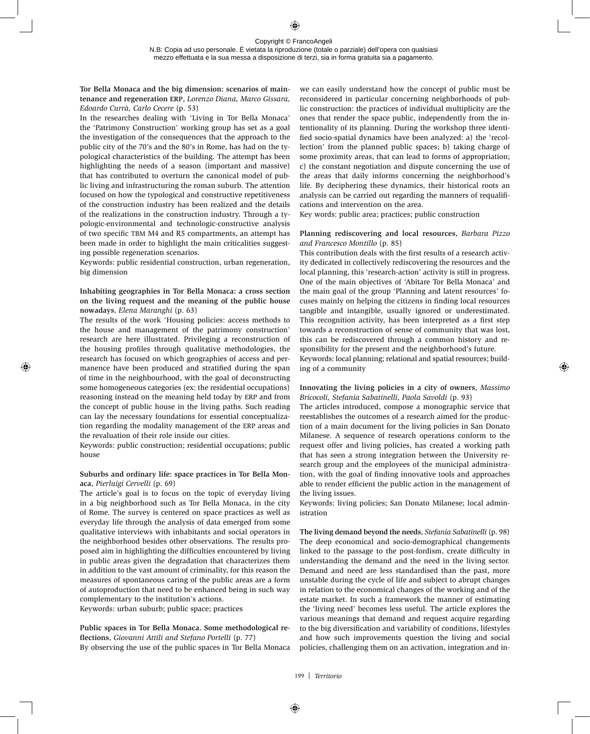## **Tor Bella Monaca and the big dimension: scenarios of maintenance and regeneration erp**, *Lorenzo Diana, Marco Gissara, Edoardo Currà, Carlo Cecere* (p. 53)

In the researches dealing with 'Living in Tor Bella Monaca' the 'Patrimony Construction' working group has set as a goal the investigation of the consequences that the approach to the public city of the 70's and the 80's in Rome, has had on the typological characteristics of the building. The attempt has been highlighting the needs of a season (important and massive) that has contributed to overturn the canonical model of public living and infrastructuring the roman suburb. The attention focused on how the typological and constructive repetitiveness of the construction industry has been realized and the details of the realizations in the construction industry. Through a typologic-environmental and technologic-constructive analysis of two specific TBM M4 and R5 compartments, an attempt has been made in order to highlight the main criticalities suggesting possible regeneration scenarios.

Keywords: public residential construction, urban regeneration, big dimension

## **Inhabiting geographies in Tor Bella Monaca: a cross section on the living request and the meaning of the public house nowadays**, *Elena Maranghi* (p. 63)

The results of the work 'Housing policies: access methods to the house and management of the patrimony construction' research are here illustrated. Privileging a reconstruction of the housing profiles through qualitative methodologies, the research has focused on which geographies of access and permanence have been produced and stratified during the span of time in the neighbourhood, with the goal of deconstructing some homogeneous categories (ex: the residential occupations) reasoning instead on the meaning held today by ERP and from the concept of public house in the living paths. Such reading can lay the necessary foundations for essential conceptualization regarding the modality management of the ERP areas and the revaluation of their role inside our cities.

Keywords: public construction; residential occupations; public house

## **Suburbs and ordinary life: space practices in Tor Bella Monaca**, *Pierluigi Cervelli* (p. 69)

The article's goal is to focus on the topic of everyday living in a big neighborhood such as Tor Bella Monaca, in the city of Rome. The survey is centered on space practices as well as everyday life through the analysis of data emerged from some qualitative interviews with inhabitants and social operators in the neighborhood besides other observations. The results proposed aim in highlighting the difficulties encountered by living in public areas given the degradation that characterizes them in addition to the vast amount of criminality, for this reason the measures of spontaneous caring of the public areas are a form of autoproduction that need to be enhanced being in such way complementary to the institution's actions.

Keywords: urban suburb; public space; practices

**Public spaces in Tor Bella Monaca. Some methodological reflections**, *Giovanni Attili and Stefano Portelli* (p. 77) By observing the use of the public spaces in Tor Bella Monaca

we can easily understand how the concept of public must be reconsidered in particular concerning neighborhoods of public construction: the practices of individual multiplicity are the ones that render the space public, independently from the intentionality of its planning. During the workshop three identified socio-spatial dynamics have been analyzed: a) the 'recollection' from the planned public spaces; b) taking charge of some proximity areas, that can lead to forms of appropriation; c) the constant negotiation and dispute concerning the use of the areas that daily informs concerning the neighborhood's life. By deciphering these dynamics, their historical roots an analysis can be carried out regarding the manners of requalifications and intervention on the area.

Key words: public area; practices; public construction

## **Planning rediscovering and local resources**, *Barbara Pizzo and Francesco Montillo* (p. 85)

This contribution deals with the first results of a research activity dedicated in collectively rediscovering the resources and the local planning, this 'research-action' activity is still in progress. One of the main objectives of 'Abitare Tor Bella Monaca' and the main goal of the group 'Planning and latent resources' focuses mainly on helping the citizens in finding local resources tangible and intangible, usually ignored or underestimated. This recognition activity, has been interpreted as a first step towards a reconstruction of sense of community that was lost, this can be rediscovered through a common history and responsibility for the present and the neighborhood's future. Keywords: local planning; relational and spatial resources; build-

ing of a community

## **Innovating the living policies in a city of owners**, *Massimo Bricocoli, Stefania Sabatinelli, Paola Savoldi* (p. 93)

The articles introduced, compose a monographic service that reestablishes the outcomes of a research aimed for the production of a main document for the living policies in San Donato Milanese. A sequence of research operations conform to the request offer and living policies, has created a working path that has seen a strong integration between the University research group and the employees of the municipal administration, with the goal of finding innovative tools and approaches able to render efficient the public action in the management of the living issues.

Keywords: living policies; San Donato Milanese; local administration

**The living demand beyond the needs**, *Stefania Sabatinelli* (p. 98) The deep economical and socio-demographical changements linked to the passage to the post-fordism, create difficulty in understanding the demand and the need in the living sector. Demand and need are less standardised than the past, more unstable during the cycle of life and subject to abrupt changes in relation to the economical changes of the working and of the estate market. In such a framework the manner of estimating the 'living need' becomes less useful. The article explores the various meanings that demand and request acquire regarding to the big diversification and variability of conditions, lifestyles and how such improvements question the living and social policies, challenging them on an activation, integration and in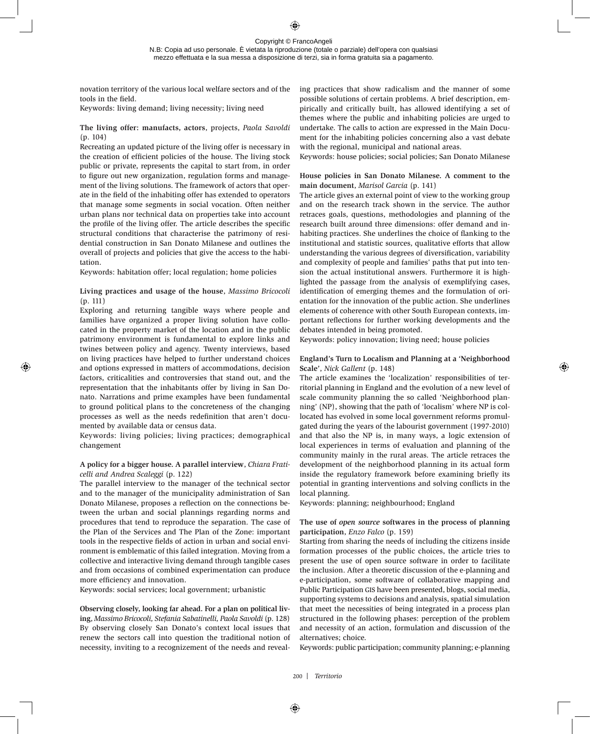N.B: Copia ad uso personale. È vietata la riproduzione (totale o parziale) dell'opera con qualsiasi mezzo effettuata e la sua messa a disposizione di terzi, sia in forma gratuita sia a pagamento.

novation territory of the various local welfare sectors and of the tools in the field.

Keywords: living demand; living necessity; living need

**The living offer: manufacts, actors**, projects, *Paola Savoldi* (p. 104)

Recreating an updated picture of the living offer is necessary in the creation of efficient policies of the house. The living stock public or private, represents the capital to start from, in order to figure out new organization, regulation forms and management of the living solutions. The framework of actors that operate in the field of the inhabiting offer has extended to operators that manage some segments in social vocation. Often neither urban plans nor technical data on properties take into account the profile of the living offer. The article describes the specific structural conditions that characterise the patrimony of residential construction in San Donato Milanese and outlines the overall of projects and policies that give the access to the habitation.

Keywords: habitation offer; local regulation; home policies

# **Living practices and usage of the house**, *Massimo Bricocoli* (p. 111)

Exploring and returning tangible ways where people and families have organized a proper living solution have collocated in the property market of the location and in the public patrimony environment is fundamental to explore links and twines between policy and agency. Twenty interviews, based on living practices have helped to further understand choices and options expressed in matters of accommodations, decision factors, criticalities and controversies that stand out, and the representation that the inhabitants offer by living in San Donato. Narrations and prime examples have been fundamental to ground political plans to the concreteness of the changing processes as well as the needs redefinition that aren't documented by available data or census data.

Keywords: living policies; living practices; demographical changement

## **A policy for a bigger house. A parallel interview**, *Chiara Fraticelli and Andrea Scaleggi* (p. 122)

The parallel interview to the manager of the technical sector and to the manager of the municipality administration of San Donato Milanese, proposes a reflection on the connections between the urban and social plannings regarding norms and procedures that tend to reproduce the separation. The case of the Plan of the Services and The Plan of the Zone: important tools in the respective fields of action in urban and social environment is emblematic of this failed integration. Moving from a collective and interactive living demand through tangible cases and from occasions of combined experimentation can produce more efficiency and innovation.

Keywords: social services; local government; urbanistic

**Observing closely, looking far ahead. For a plan on political living**, *Massimo Bricocoli, Stefania Sabatinelli, Paola Savoldi* (p. 128) By observing closely San Donato's context local issues that renew the sectors call into question the traditional notion of necessity, inviting to a recognizement of the needs and revealing practices that show radicalism and the manner of some possible solutions of certain problems. A brief description, empirically and critically built, has allowed identifying a set of themes where the public and inhabiting policies are urged to undertake. The calls to action are expressed in the Main Document for the inhabiting policies concerning also a vast debate with the regional, municipal and national areas.

Keywords: house policies; social policies; San Donato Milanese

## **House policies in San Donato Milanese. A comment to the main document**, *Marisol Garcia* (p. 141)

The article gives an external point of view to the working group and on the research track shown in the service. The author retraces goals, questions, methodologies and planning of the research built around three dimensions: offer demand and inhabiting practices. She underlines the choice of flanking to the institutional and statistic sources, qualitative efforts that allow understanding the various degrees of diversification, variability and complexity of people and families' paths that put into tension the actual institutional answers. Furthermore it is highlighted the passage from the analysis of exemplifying cases, identification of emerging themes and the formulation of orientation for the innovation of the public action. She underlines elements of coherence with other South European contexts, important reflections for further working developments and the debates intended in being promoted.

Keywords: policy innovation; living need; house policies

## **England's Turn to Localism and Planning at a 'Neighborhood Scale'**, *Nick Gallent* (p. 148)

The article examines the 'localization' responsibilities of territorial planning in England and the evolution of a new level of scale community planning the so called 'Neighborhood planning' (NP), showing that the path of 'localism' where NP is collocated has evolved in some local government reforms promulgated during the years of the labourist government (1997-2010) and that also the NP is, in many ways, a logic extension of local experiences in terms of evaluation and planning of the community mainly in the rural areas. The article retraces the development of the neighborhood planning in its actual form inside the regulatory framework before examining briefly its potential in granting interventions and solving conflicts in the local planning.

Keywords: planning; neighbourhood; England

## **The use of** *open source* **softwares in the process of planning participation**, *Enzo Falco* (p. 159)

Starting from sharing the needs of including the citizens inside formation processes of the public choices, the article tries to present the use of open source software in order to facilitate the inclusion. After a theoretic discussion of the e-planning and e-participation, some software of collaborative mapping and Public Participation gis have been presented, blogs, social media, supporting systems to decisions and analysis, spatial simulation that meet the necessities of being integrated in a process plan structured in the following phases: perception of the problem and necessity of an action, formulation and discussion of the alternatives; choice.

Keywords: public participation; community planning; e-planning